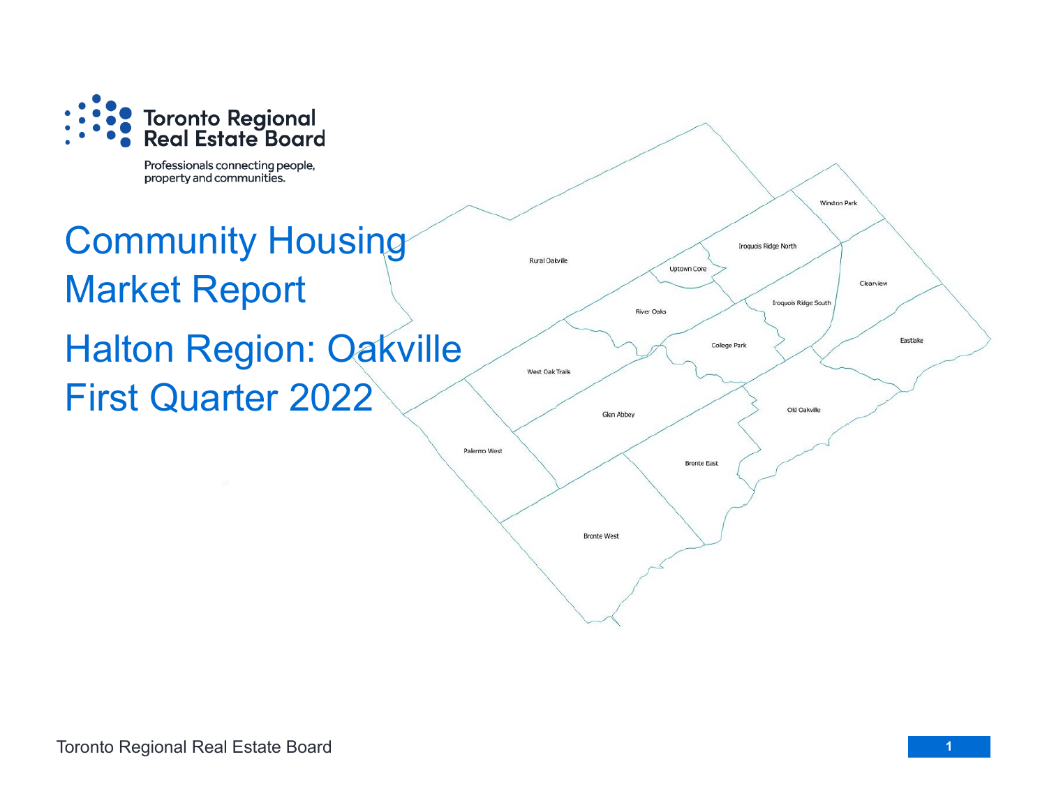

Professionals connecting people, property and communities.

# Community Housing Market Report Halton Region: Oakville First Quarter 2022

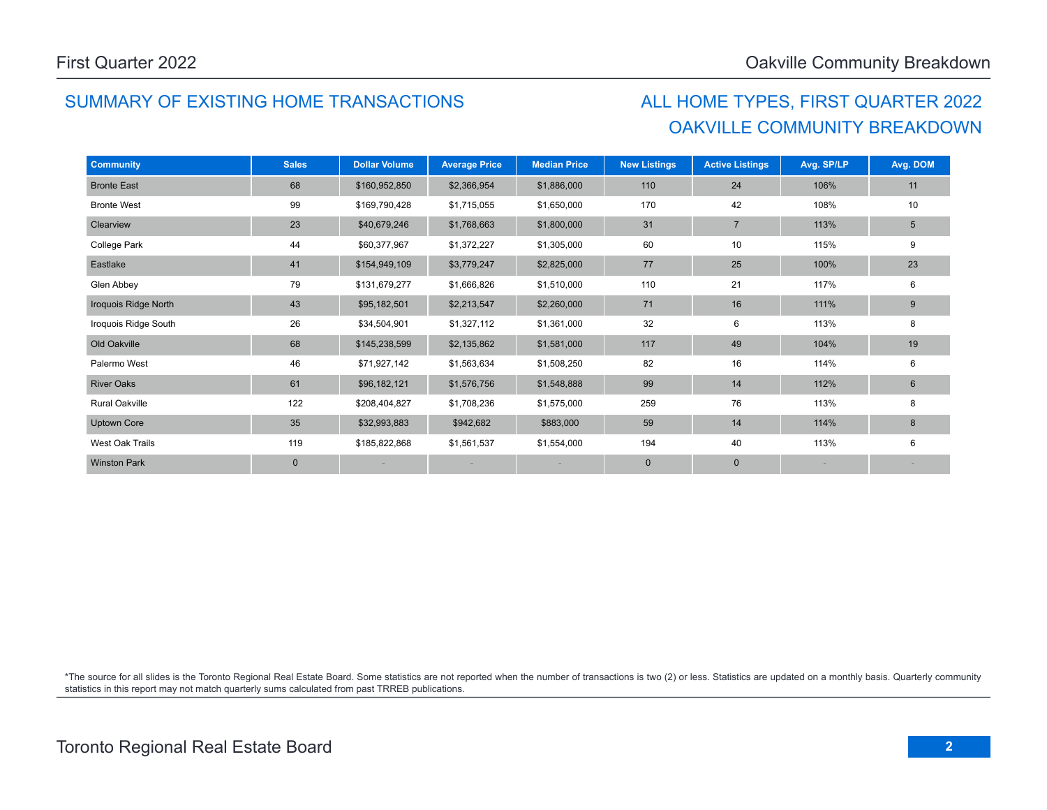# SUMMARY OF EXISTING HOME TRANSACTIONS ALL HOME TYPES, FIRST QUARTER 2022

# OAKVILLE COMMUNITY BREAKDOWN

| <b>Community</b>      | <b>Sales</b> | <b>Dollar Volume</b> | <b>Average Price</b> | <b>Median Price</b> | <b>New Listings</b> | <b>Active Listings</b> | Avg. SP/LP | Avg. DOM        |
|-----------------------|--------------|----------------------|----------------------|---------------------|---------------------|------------------------|------------|-----------------|
| <b>Bronte East</b>    | 68           | \$160,952,850        | \$2,366,954          | \$1,886,000         | 110                 | 24                     | 106%       | 11              |
| <b>Bronte West</b>    | 99           | \$169,790,428        | \$1,715,055          | \$1,650,000         | 170                 | 42                     | 108%       | 10              |
| Clearview             | 23           | \$40,679,246         | \$1,768,663          | \$1,800,000         | 31                  | $\overline{7}$         | 113%       | $5\phantom{.0}$ |
| College Park          | 44           | \$60,377,967         | \$1,372,227          | \$1,305,000         | 60                  | 10                     | 115%       | 9               |
| Eastlake              | 41           | \$154,949,109        | \$3,779,247          | \$2,825,000         | 77                  | 25                     | 100%       | 23              |
| Glen Abbey            | 79           | \$131,679,277        | \$1,666,826          | \$1,510,000         | 110                 | 21                     | 117%       | 6               |
| Iroquois Ridge North  | 43           | \$95,182,501         | \$2,213,547          | \$2,260,000         | 71                  | 16                     | 111%       | 9               |
| Iroquois Ridge South  | 26           | \$34,504,901         | \$1,327,112          | \$1,361,000         | 32                  | 6                      | 113%       | 8               |
| Old Oakville          | 68           | \$145,238,599        | \$2,135,862          | \$1,581,000         | 117                 | 49                     | 104%       | 19              |
| Palermo West          | 46           | \$71,927,142         | \$1,563,634          | \$1,508,250         | 82                  | 16                     | 114%       | 6               |
| <b>River Oaks</b>     | 61           | \$96,182,121         | \$1,576,756          | \$1,548,888         | 99                  | 14                     | 112%       | 6               |
| <b>Rural Oakville</b> | 122          | \$208,404,827        | \$1,708,236          | \$1,575,000         | 259                 | 76                     | 113%       | 8               |
| <b>Uptown Core</b>    | 35           | \$32,993,883         | \$942,682            | \$883,000           | 59                  | 14                     | 114%       | 8               |
| West Oak Trails       | 119          | \$185,822,868        | \$1,561,537          | \$1,554,000         | 194                 | 40                     | 113%       | 6               |
| <b>Winston Park</b>   | $\mathbf 0$  |                      |                      |                     | $\mathbf 0$         | $\mathbf 0$            |            |                 |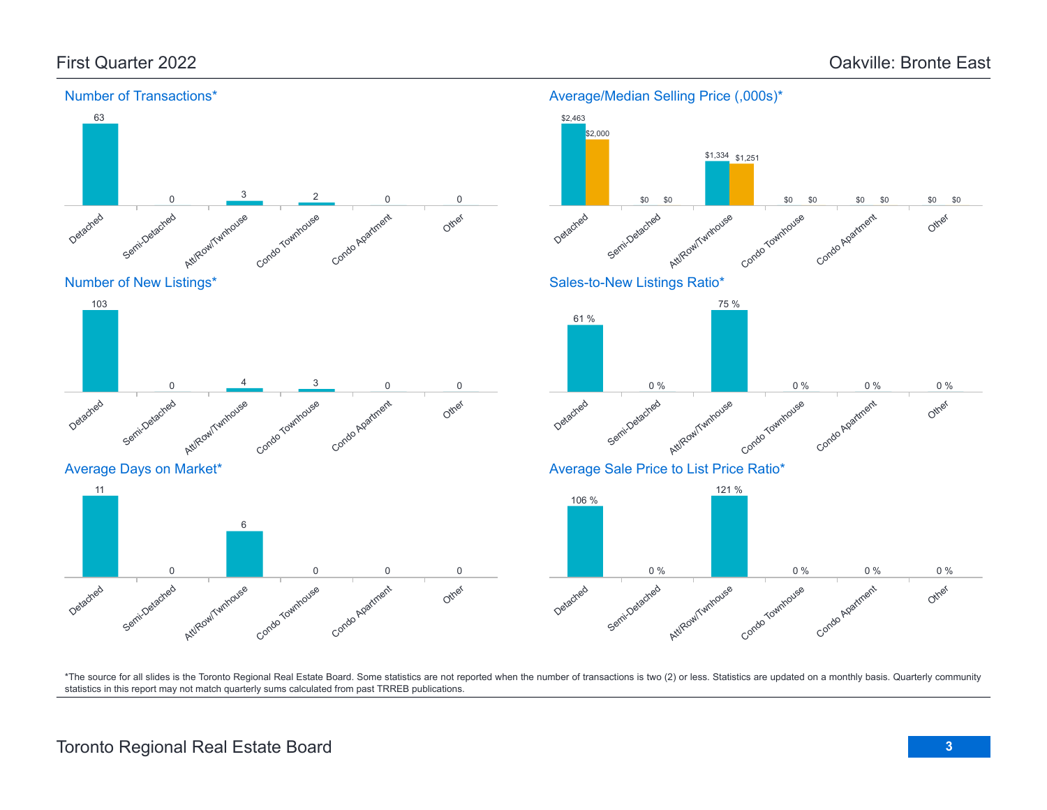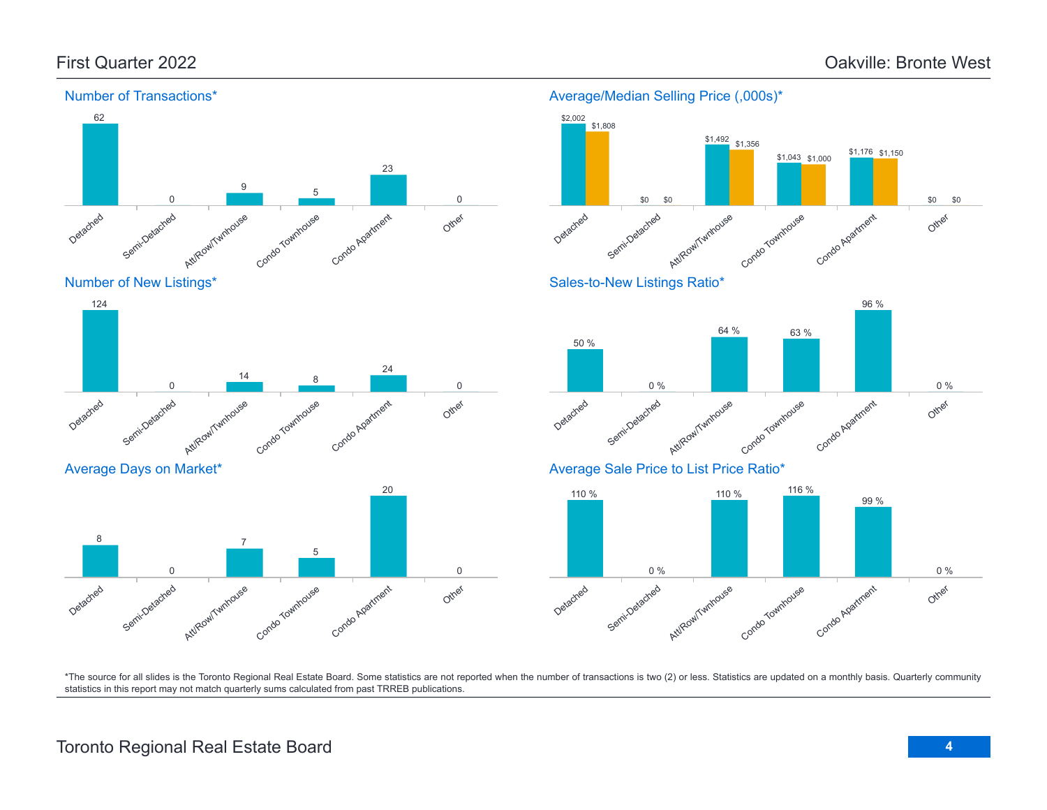\$1,176 \$1,150

96 %

Other

0 %

\$0

\$0



#### Number of Transactions\*

Average Days on Market\*



Att/Row/Twnhouse

\$1,492 \$1,356

\$0

\$0

Condo Townhouse

64 % 63 %

\$1,043 \$1,000

Condo Apartment



# Detached Semi-Detached Att/Row/Twnhouse Condo Townhouse Condo Agatment Other 0 % 0 %

\*The source for all slides is the Toronto Regional Real Estate Board. Some statistics are not reported when the number of transactions is two (2) or less. Statistics are updated on a monthly basis. Quarterly community statistics in this report may not match quarterly sums calculated from past TRREB publications.

Other

20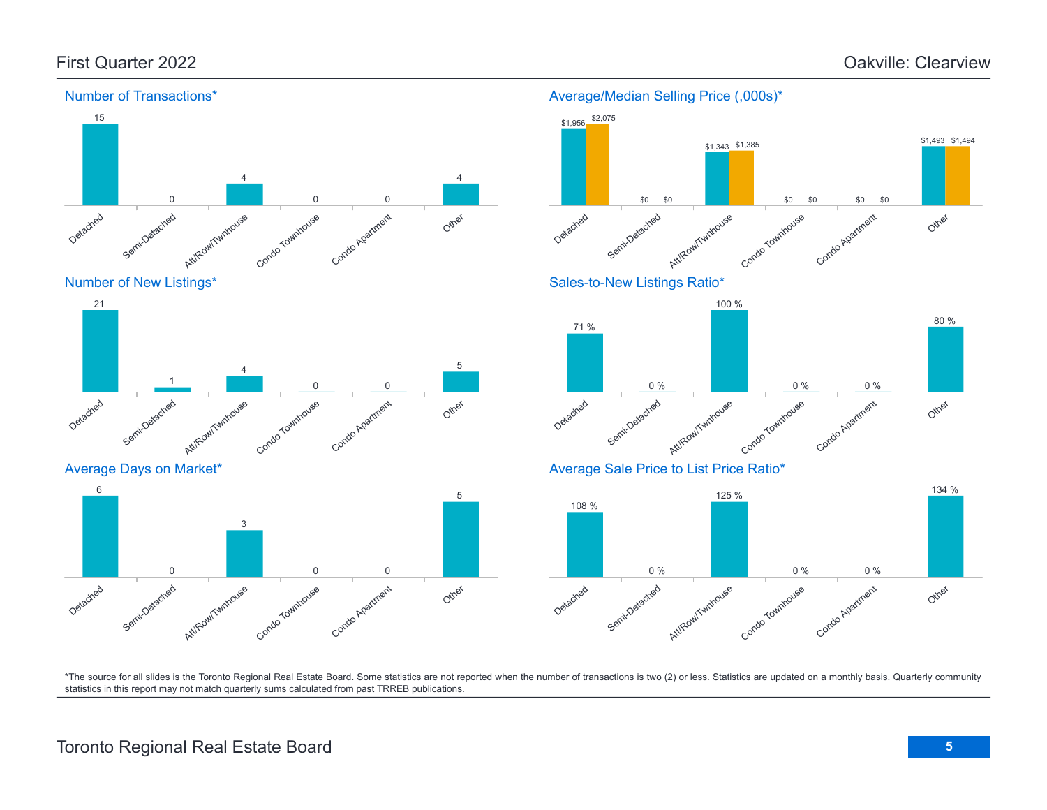\$1,493 \$1,494





Average Days on Market\*



#### Detached Semi-Detached Att/Row/Twnhouse Condo Townhouse Condo Apartment Other \$0 \$0 \$0 \$0 \$0 \$0 Sales-to-New Listings Ratio\* Detached Semi-Detached Attikow/Twnhouse Condo Townhouse Condo Apartment Other 71 % 0 % 100 % 0 % 0 % 80 % Average Sale Price to List Price Ratio\* 108 % 125 % 134 %

\$1,343 \$1,385

Average/Median Selling Price (,000s)\*

\$1,956 \$2,075



\*The source for all slides is the Toronto Regional Real Estate Board. Some statistics are not reported when the number of transactions is two (2) or less. Statistics are updated on a monthly basis. Quarterly community statistics in this report may not match quarterly sums calculated from past TRREB publications.

# Toronto Regional Real Estate Board **5**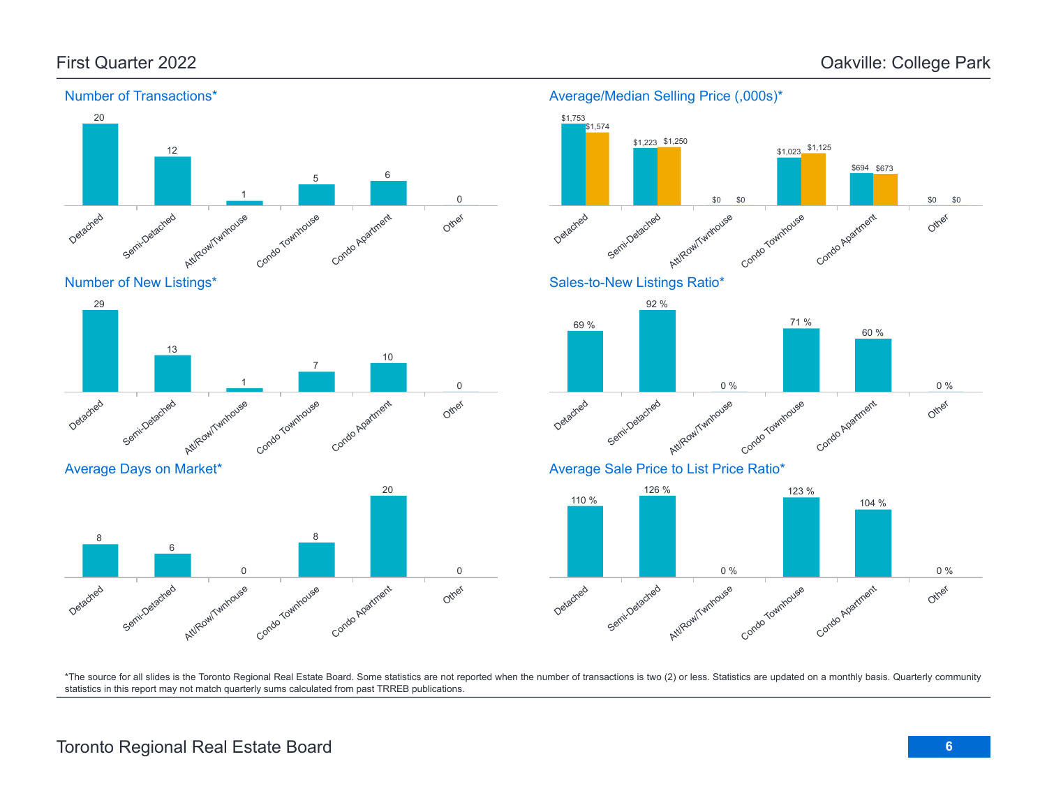

#### Number of Transactions\*

\*The source for all slides is the Toronto Regional Real Estate Board. Some statistics are not reported when the number of transactions is two (2) or less. Statistics are updated on a monthly basis. Quarterly community statistics in this report may not match quarterly sums calculated from past TRREB publications.

Other

0

# Toronto Regional Real Estate Board **6**

Att/Row/Twnhouse

0

Condo Townhouse

Condo Apartment

Detached

Semi-Detached

6

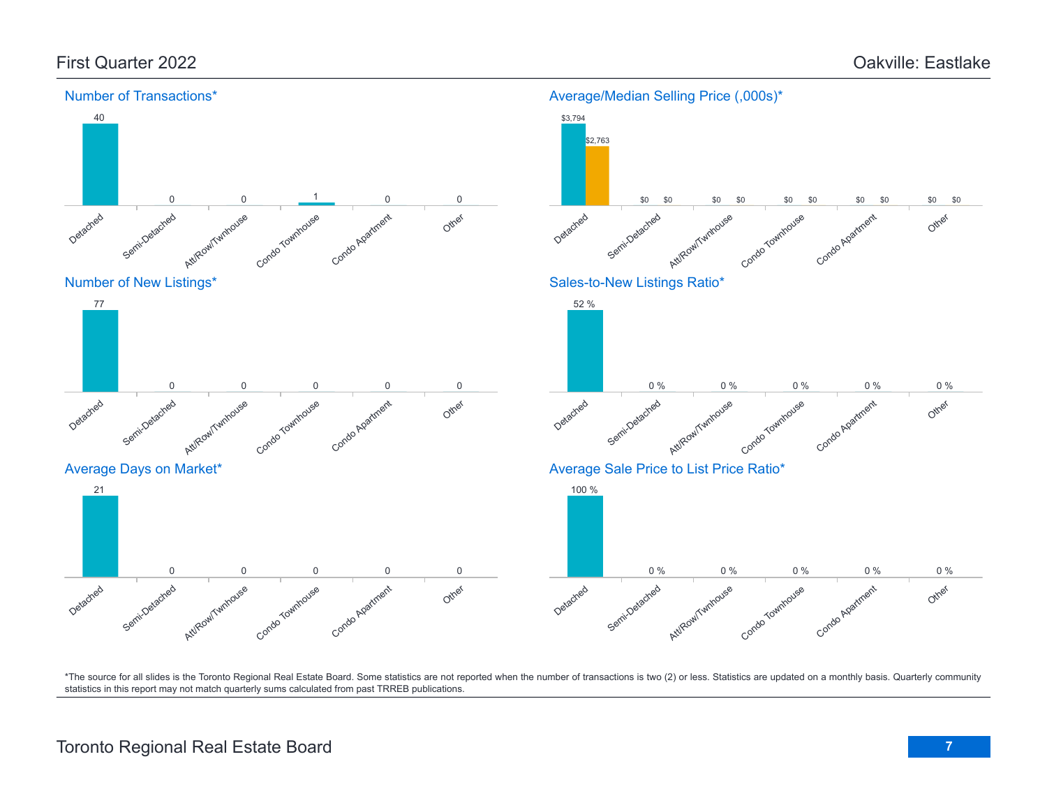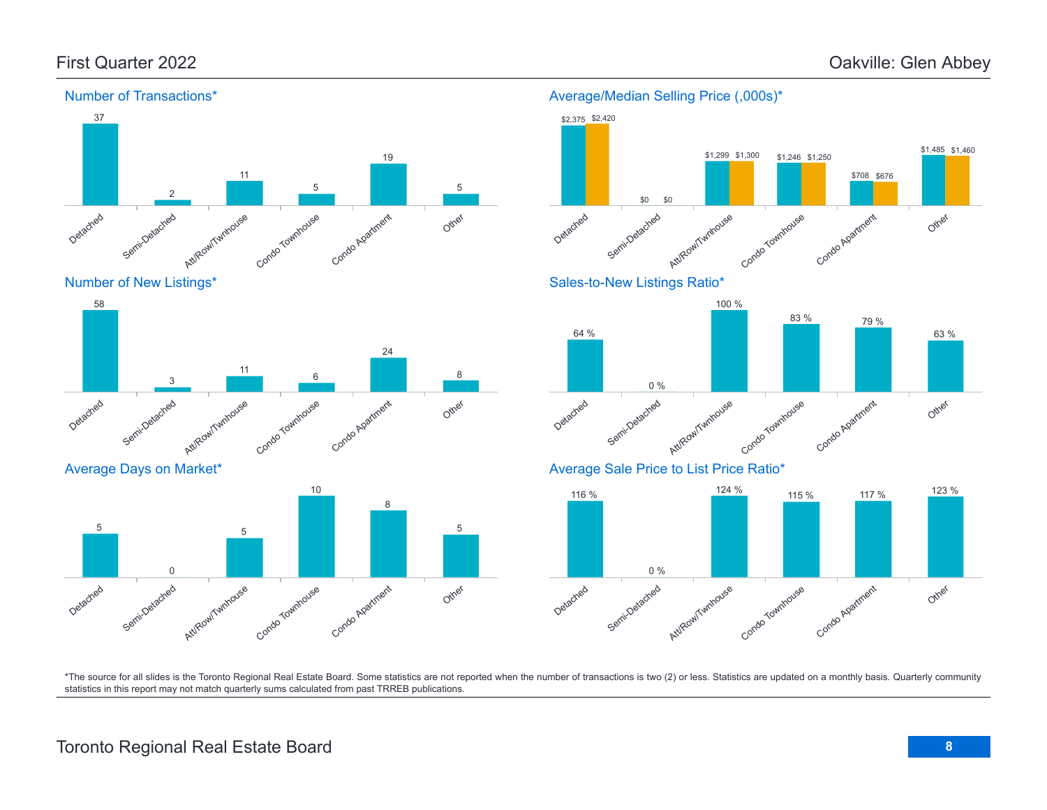

Number of New Listings\*



Average Days on Market\*



### Average/Median Selling Price (,000s)\*

0 %





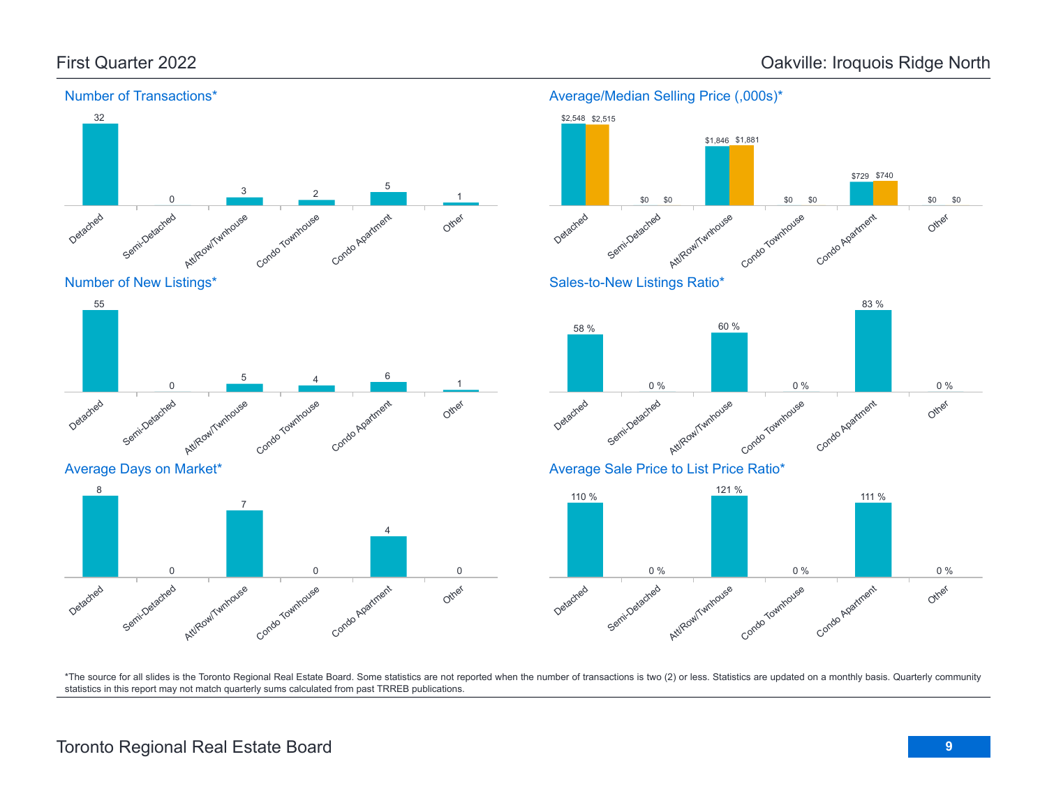



Average Days on Market\*





Average/Median Selling Price (,000s)\*



\*The source for all slides is the Toronto Regional Real Estate Board. Some statistics are not reported when the number of transactions is two (2) or less. Statistics are updated on a monthly basis. Quarterly community statistics in this report may not match quarterly sums calculated from past TRREB publications.

# Toronto Regional Real Estate Board **9**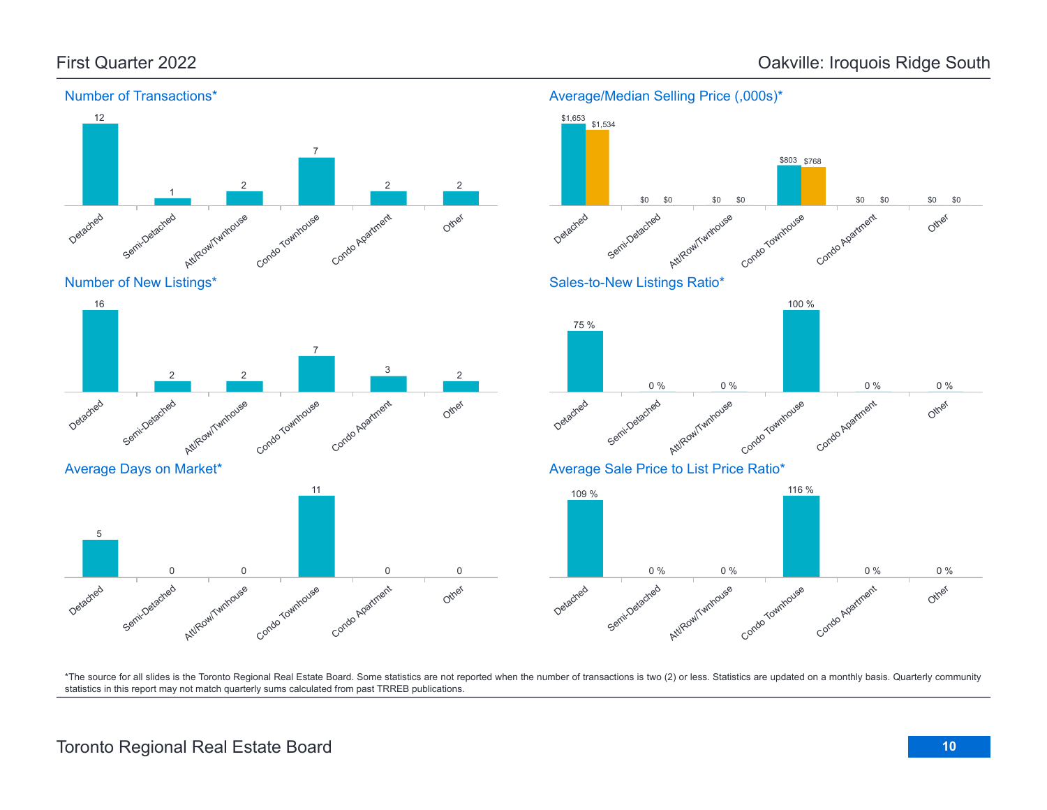Other

Other

Other



\*The source for all slides is the Toronto Regional Real Estate Board. Some statistics are not reported when the number of transactions is two (2) or less. Statistics are updated on a monthly basis. Quarterly community statistics in this report may not match quarterly sums calculated from past TRREB publications.

# Toronto Regional Real Estate Board **10**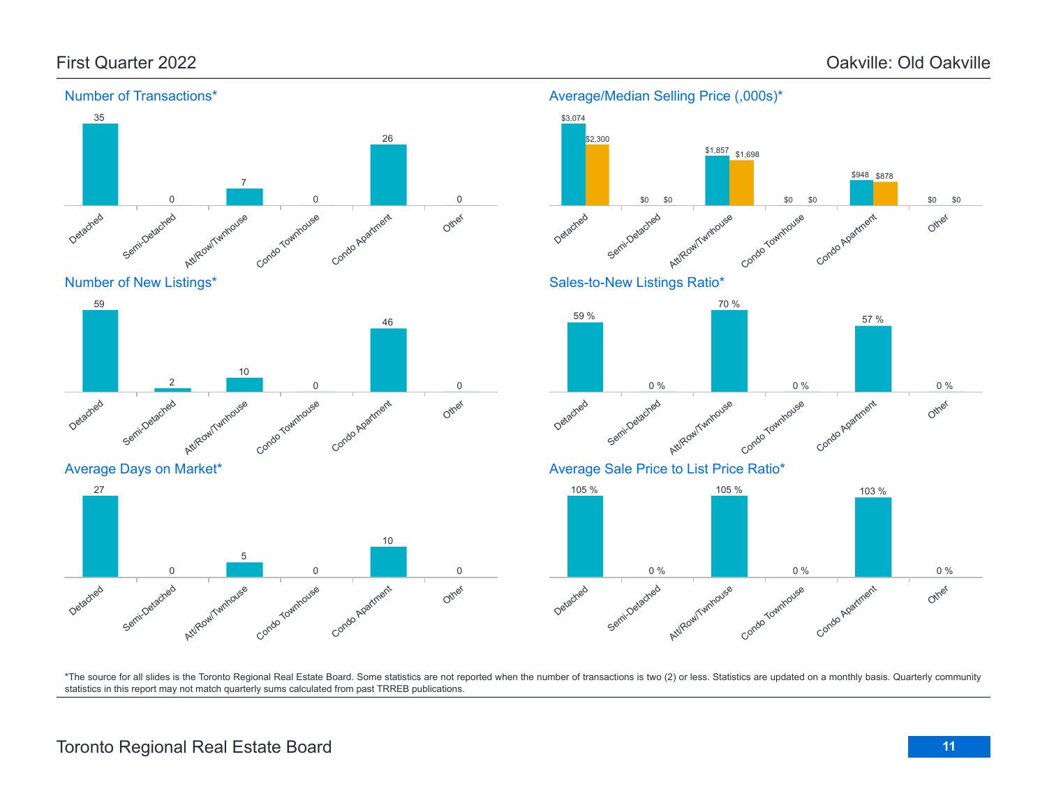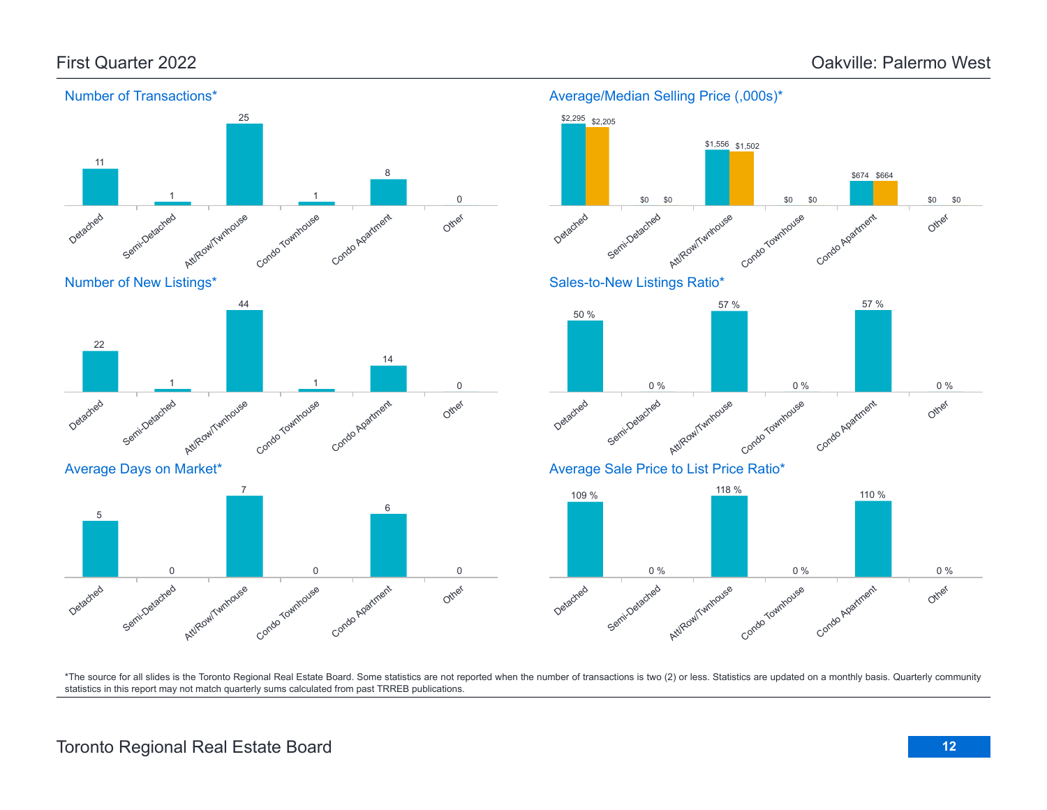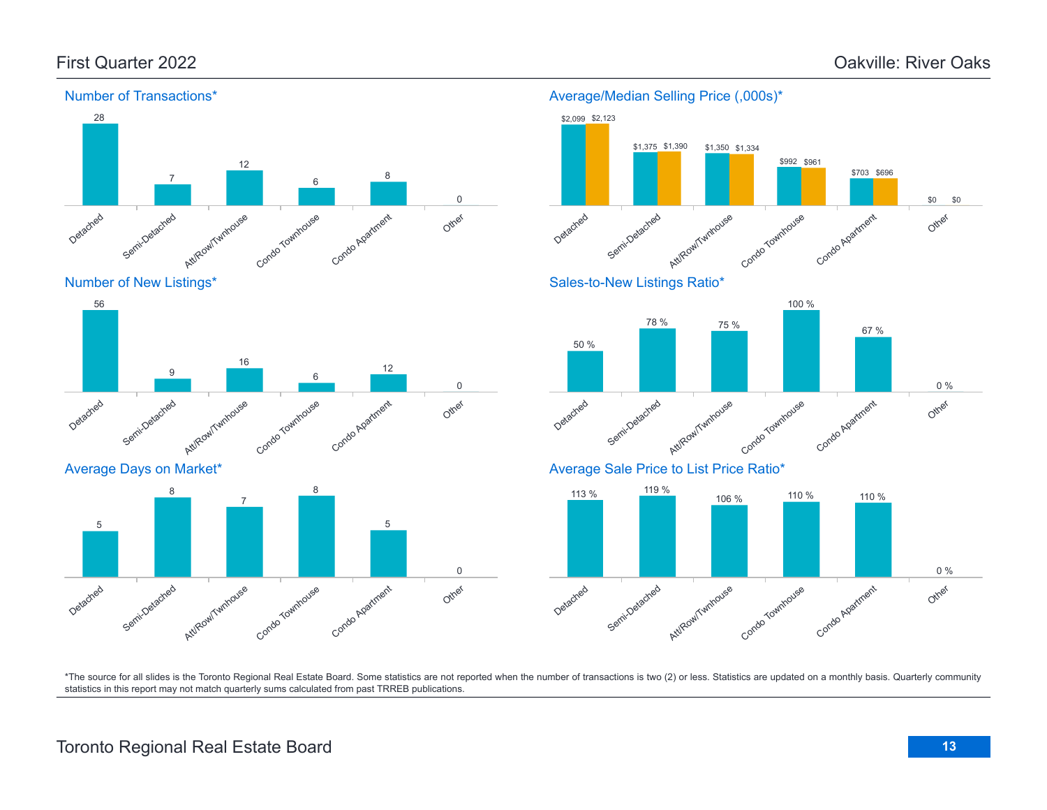Other

\$0

\$0



Number of New Listings\*



### Average Days on Market\*



### Detached Semi-Detached AttiRowiTwithouse Condo Townhouse Condo Agatment \$2,099 \$2,123 \$1,390 \$992 \$961 \$703 \$696 \$1,390 \$1,334

Average/Median Selling Price (,000s)\*

Sales-to-New Listings Ratio\*



Average Sale Price to List Price Ratio\*

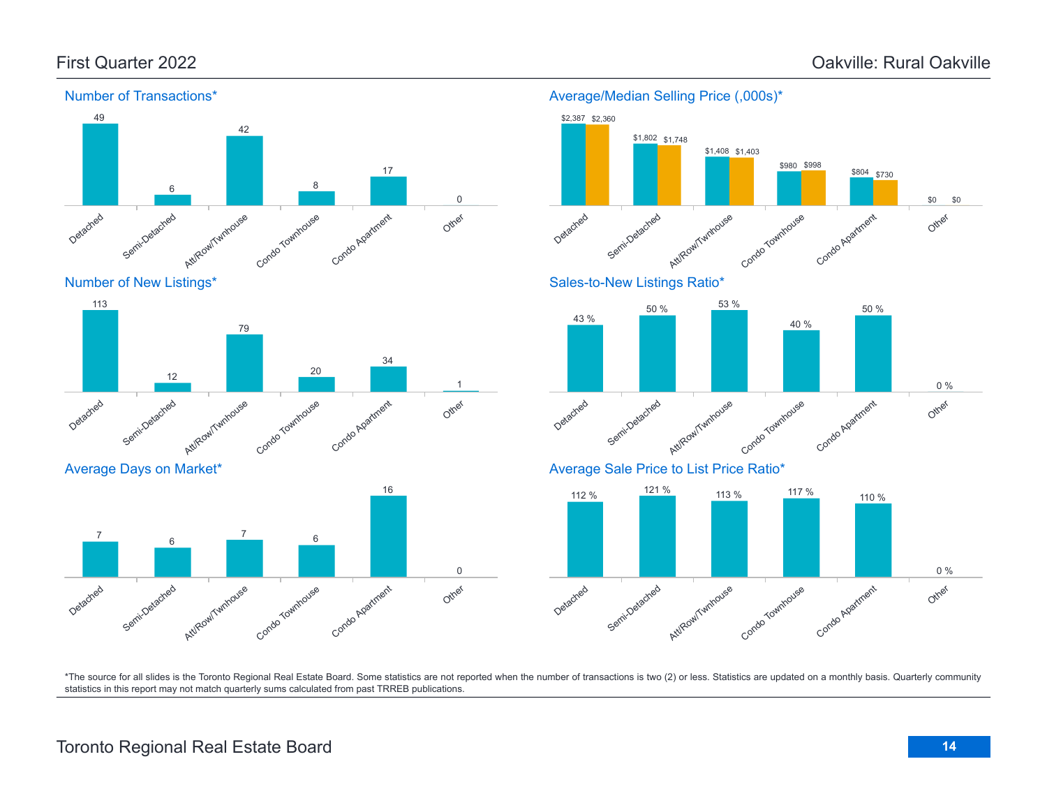Other

\$0

\$0



Number of New Listings\*



#### Average Days on Market\*



#### Average/Median Selling Price (,000s)\* Detached Semi-Detached Att/Row/Twnhouse Condo Townhouse Condo Apartment \$2,387 \$2,360 \$1,802 \$1,748 \$1,408 \$1,403 \$980 \$998 \$804 \$730 Sales-to-New Listings Ratio\*





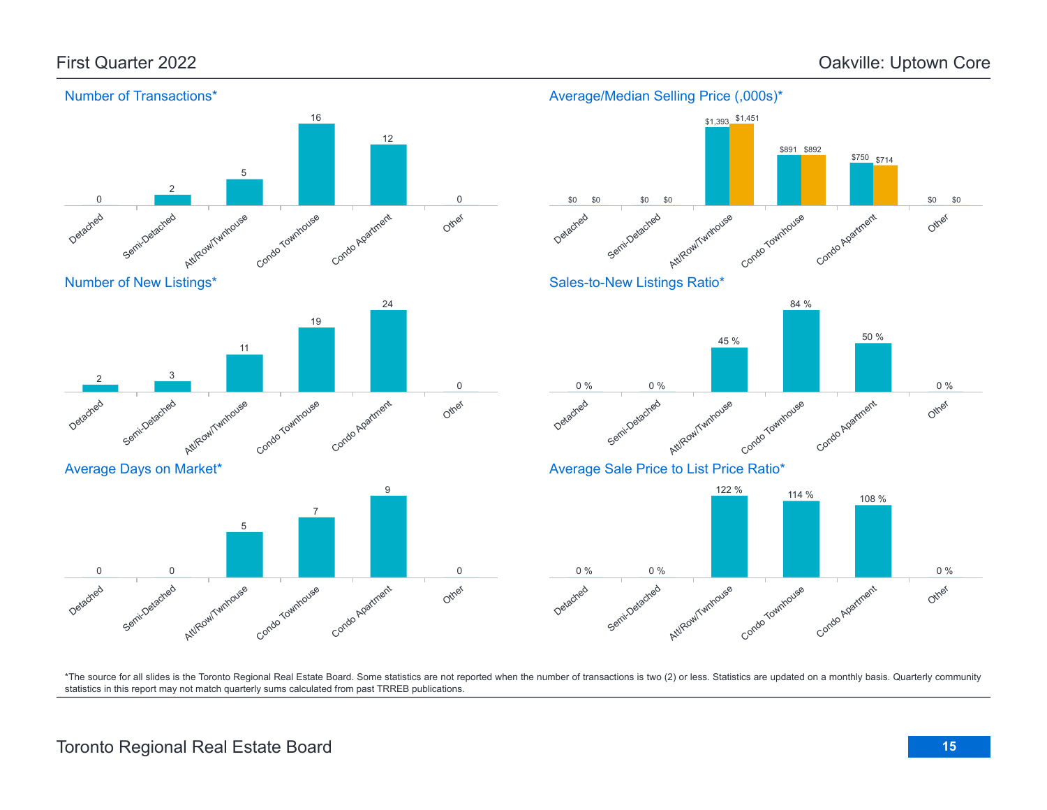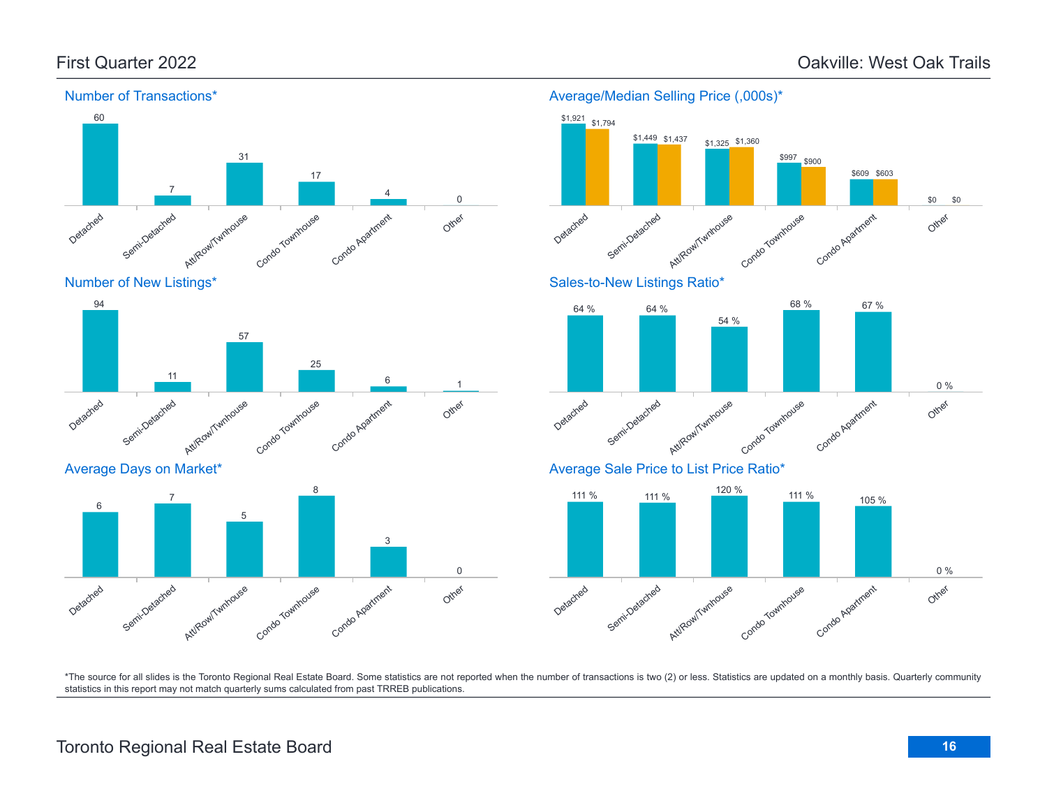

Number of New Listings\*



Average Days on Market\*